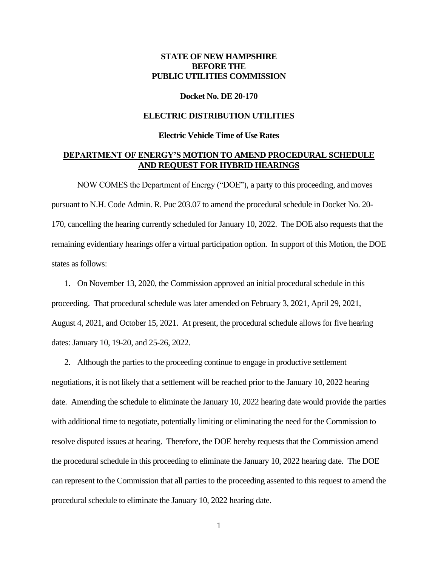# **STATE OF NEW HAMPSHIRE BEFORE THE PUBLIC UTILITIES COMMISSION**

#### **Docket No. DE 20-170**

### **ELECTRIC DISTRIBUTION UTILITIES**

#### **Electric Vehicle Time of Use Rates**

## **DEPARTMENT OF ENERGY'S MOTION TO AMEND PROCEDURAL SCHEDULE AND REQUEST FOR HYBRID HEARINGS**

NOW COMES the Department of Energy ("DOE"), a party to this proceeding, and moves pursuant to N.H. Code Admin. R. Puc 203.07 to amend the procedural schedule in Docket No. 20- 170, cancelling the hearing currently scheduled for January 10, 2022. The DOE also requests that the remaining evidentiary hearings offer a virtual participation option. In support of this Motion, the DOE states as follows:

1. On November 13, 2020, the Commission approved an initial procedural schedule in this proceeding. That procedural schedule was later amended on February 3, 2021, April 29, 2021, August 4, 2021, and October 15, 2021. At present, the procedural schedule allows for five hearing dates: January 10, 19-20, and 25-26, 2022.

2. Although the parties to the proceeding continue to engage in productive settlement negotiations, it is not likely that a settlement will be reached prior to the January 10, 2022 hearing date. Amending the schedule to eliminate the January 10, 2022 hearing date would provide the parties with additional time to negotiate, potentially limiting or eliminating the need for the Commission to resolve disputed issues at hearing. Therefore, the DOE hereby requests that the Commission amend the procedural schedule in this proceeding to eliminate the January 10, 2022 hearing date. The DOE can represent to the Commission that all parties to the proceeding assented to this request to amend the procedural schedule to eliminate the January 10, 2022 hearing date.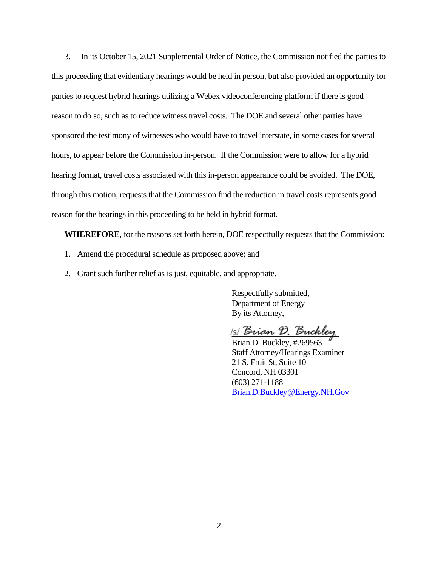3. In its October 15, 2021 Supplemental Order of Notice, the Commission notified the parties to this proceeding that evidentiary hearings would be held in person, but also provided an opportunity for parties to request hybrid hearings utilizing a Webex videoconferencing platform if there is good reason to do so, such as to reduce witness travel costs. The DOE and several other parties have sponsored the testimony of witnesses who would have to travel interstate, in some cases for several hours, to appear before the Commission in-person. If the Commission were to allow for a hybrid hearing format, travel costs associated with this in-person appearance could be avoided. The DOE, through this motion, requests that the Commission find the reduction in travel costs represents good reason for the hearings in this proceeding to be held in hybrid format.

**WHEREFORE**, for the reasons set forth herein, DOE respectfully requests that the Commission:

- 1. Amend the procedural schedule as proposed above; and
- 2. Grant such further relief as is just, equitable, and appropriate.

Respectfully submitted, Department of Energy By its Attorney,

1s/ Brian D. Buckley

Brian D. Buckley, #269563 Staff Attorney/Hearings Examiner 21 S. Fruit St, Suite 10 Concord, NH 03301 (603) 271-1188 [Brian.D.Buckley@Energy.NH.Gov](mailto:Brian.D.Buckley@Energy.NH.Gov)